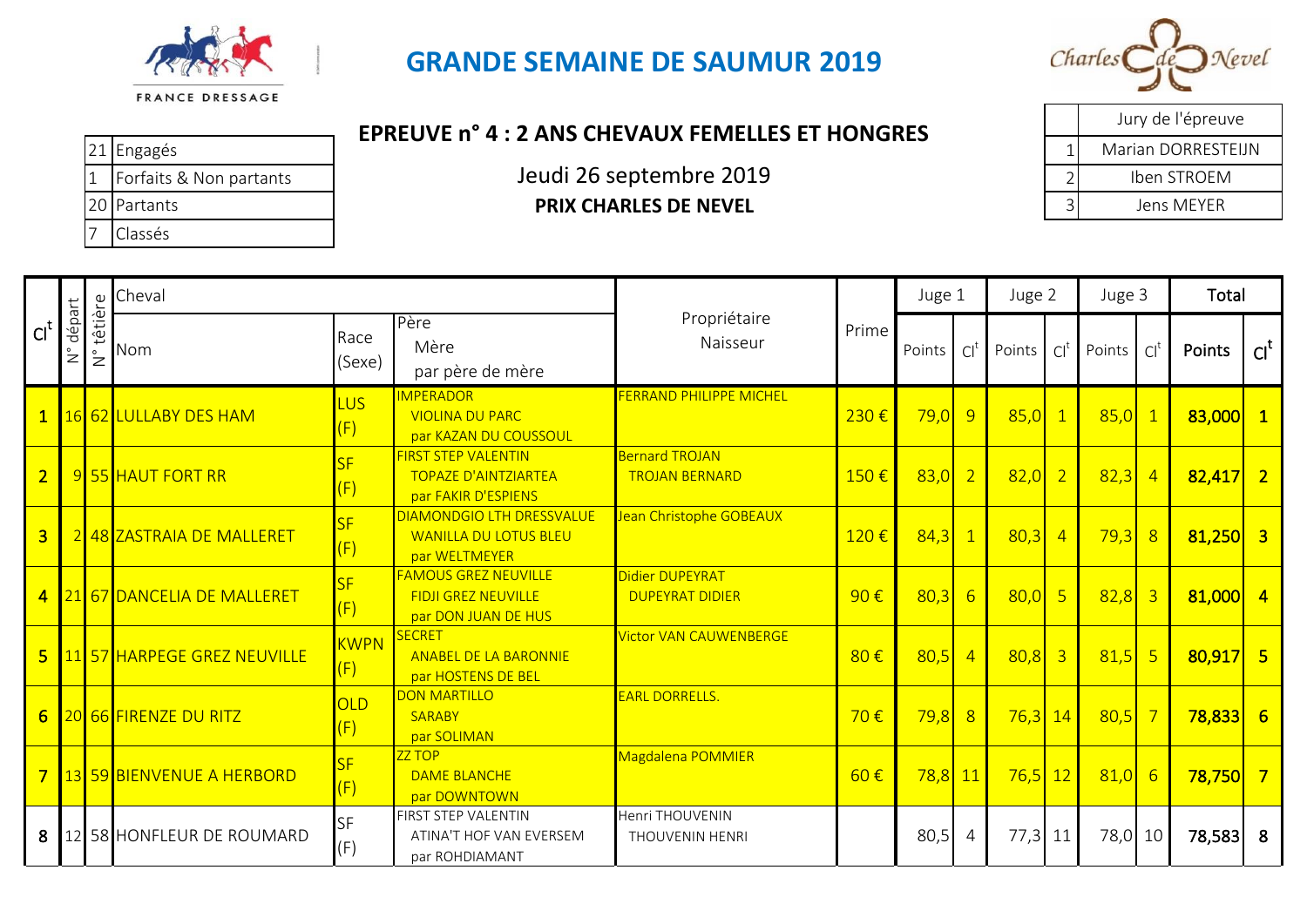

## **GRANDE SEMAINE DE SAUMUR 2019**

*Charles* 

## **EPREUVE n° 4 : 2 ANS CHEVAUX FEMELLES ET HONGRES**

|  | 21 Engagés                | LENLUVE II T. Z ANJ CHEVAUA I LIVILLLEJ ET HUNUNEJ |  |
|--|---------------------------|----------------------------------------------------|--|
|  | L Forfaits & Non partants | Jeudi 26 septembre 2019                            |  |
|  | 20 Partants               | <b>PRIX CHARLES DE NEVEL</b>                       |  |
|  | Classés                   |                                                    |  |

|   | Jury de l'épreuve  |
|---|--------------------|
|   | Marian DORRESTELIN |
|   | Iben STROEM        |
| 3 | Jens MFYFR         |

|                  |                                   | $\mathbb U$                           | Cheval                        |                    |                                                                                   |                                                |                   | Juge 1    |                 | Juge 2    |                | Juge 3  |                 | Total                 |                 |
|------------------|-----------------------------------|---------------------------------------|-------------------------------|--------------------|-----------------------------------------------------------------------------------|------------------------------------------------|-------------------|-----------|-----------------|-----------|----------------|---------|-----------------|-----------------------|-----------------|
| Cl <sup>t</sup>  | départ<br>$\overset{\circ}{\geq}$ | têtière<br>$\overset{\circ}{\succeq}$ | Nom                           | Race<br>(Sexe)     | Père<br>Mère<br>par père de mère                                                  | Propriétaire<br>Naisseur                       | Prime             | Points    | $Cl^t$          | Points    | $\cap$         | Points  | Cl <sup>1</sup> | Points                | Cl <sup>t</sup> |
|                  |                                   |                                       | 1 16 62 LULLABY DES HAM       | <b>LUS</b><br>(F)  | <b>IMPERADOR</b><br><b>VIOLINA DU PARC</b><br>par KAZAN DU COUSSOUL               | <b>FERRAND PHILIPPE MICHEL</b>                 | 230€              | 79,0      | 9               | 85,0      |                | 85,0    | $\mathbf{1}$    | $83,000$ 1            |                 |
| $\overline{2}$   |                                   |                                       | 9 55 HAUT FORT RR             | SF<br>(F)          | <b>FIRST STEP VALENTIN</b><br><b>TOPAZE D'AINTZIARTEA</b><br>par FAKIR D'ESPIENS  | <b>Bernard TROJAN</b><br><b>TROJAN BERNARD</b> | 150€              | $83,0$ 2  |                 | 82,0      | $\overline{2}$ | 82,3    | $\overline{4}$  | $82,417$ 2            |                 |
| $\overline{3}$   |                                   |                                       | 2 48 ZASTRAIA DE MALLERET     | <b>SF</b><br>(F)   | <b>DIAMONDGIO LTH DRESSVALUE</b><br><b>WANILLA DU LOTUS BLEU</b><br>par WELTMEYER | Jean Christophe GOBEAUX                        | 120€              | 84,3      | $\overline{1}$  | 80,3      | $\overline{4}$ | 79,3    | 8               | $81,250$ 3            |                 |
| $\overline{4}$   |                                   |                                       | 21 67 DANCELIA DE MALLERET    | SF<br>(F)          | <b>FAMOUS GREZ NEUVILLE</b><br><b>FIDJI GREZ NEUVILLE</b><br>par DON JUAN DE HUS  | Didier DUPEYRAT<br><b>DUPEYRAT DIDIER</b>      | $90 \text{ } \in$ | 80,3      | $6\overline{6}$ | 80,0      | $-5$           | 82,8    | $\overline{3}$  | $81,000$ 4            |                 |
|                  |                                   |                                       | 5 11 57 HARPEGE GREZ NEUVILLE | <b>KWPN</b><br>(F) | SECRET<br><b>ANABEL DE LA BARONNIE</b><br>par HOSTENS DE BEL                      | <b>Victor VAN CAUWENBERGE</b>                  | 80€               | 80,5      | $\overline{4}$  | $80,8$ 3  |                | 81,5    | 5               | $80,917$ 5            |                 |
| $6 \overline{6}$ |                                   |                                       | <b>20 66 FIRENZE DU RITZ</b>  | OLD<br>(F)         | <b>DON MARTILLO</b><br><b>SARABY</b><br>par SOLIMAN                               | <b>EARL DORRELLS.</b>                          | 70€               | 79,8      | 8               | $76,3$ 14 |                | 80,5    | $\overline{7}$  | $78,833$ 6            |                 |
|                  |                                   |                                       | 7 3 59 BIENVENUE A HERBORD    | SF<br>(F)          | ZZ TOP<br><b>DAME BLANCHE</b><br>par DOWNTOWN                                     | Magdalena POMMIER                              | 60€               | $78,8$ 11 |                 | $76,5$ 12 |                | 81,0    | 6               | <mark>78,750</mark> 7 |                 |
| 8                |                                   |                                       | 12 58 HONFLEUR DE ROUMARD     | <b>SF</b><br>(F)   | <b>FIRST STEP VALENTIN</b><br>ATINA'T HOF VAN EVERSEM<br>par ROHDIAMANT           | Henri THOUVENIN<br><b>THOUVENIN HENRI</b>      |                   | 80,5      | $\overline{4}$  | $77,3$ 11 |                | 78,0 10 |                 | 78,583 8              |                 |